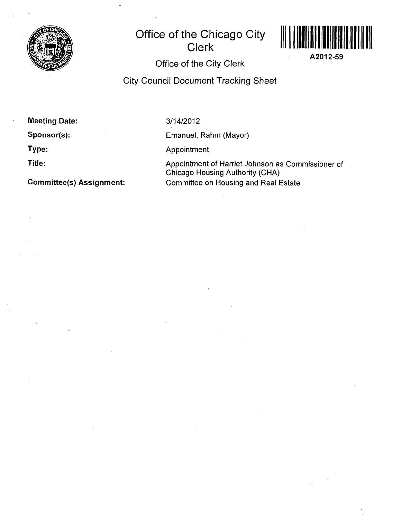

## **Office of the Chicago City Clerk**



A2012-59

### Office of the City Clerk

City Council Document Tracking Sheet

Meeting Date:

Sponsor(s):

Type:

Title:

Committee(s) Assignment:

3/14/2012

Emanuel, Rahm (Mayor)

Appointment

Appointment of Harriet Johnson as Commissioner of Chicago Housing Authority (CHA) Committee on Housing and Real Estate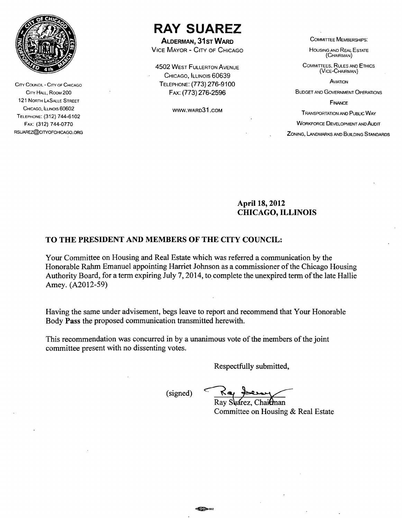

CITY COUNCIL - CITY OF CHICAGO CITY HALL, ROOM 200 121 NORTH LASALLE STREET CHICAGO, ILLINOIS 60602 TELEPHONE: (312) 744-6102 FAX: (312) 744-0770 RSUAREZ@CITYOFCHICAGO.ORG

# **RAY SUAREZ**

**ALDERMAN, 31ST WARD** 

VICE MAYOR - CITY OF CHICAGO

**4502 WEST FULLERTON AVENUE** CHICAGO, ILLINOIS 60639 TELEPHONE: (773) 276-9100 FAX: (773) 276-2596

WWW.WARD3 1 .COM

COMMITTEE MEMBERSHIPS:

HOUSING AND REAL ESTATE (CHAIRMAN)

COMMITTEES, RULES AND ETHICS (VICE-CHAIRMAN)

**AVIATION** 

BUDGET AND GOVERNMENT OPERATIONS

**FINANCE** 

TRANSPORTATION AND PUBLIC WAY

WORKFORCE DEVELOPMENT AND AUDIT

ZONING, LANDMARKS AND BUILDING STANDARDS

#### **April 18,2012 CHICAGO, ILLINOIS**

#### **TO THE PRESIDENT AND MEMBERS OF THE CITY COUNCIL:**

Your Committee on Housing and Real Estate which was referred a communication by the Honorable Rahm Emanuel appointing Harriet Johnson as a commissioner of the Chicago Housing Authority Board, for a term expiring July 7,2014, to complete the unexpired term of the late Hallie Amey. (A2012-59)

Having the same under advisement, begs leave to report and recommend that Your Honorable Body Pass the proposed communication transmitted herewith.

This recommendation was concurred in by a unanimous vote of the members of the joint committee present with no dissenting votes.

Respectfully submitted.

(signed)

Ray Suarez, Chai**c**man Committee on Housing & Real Estate